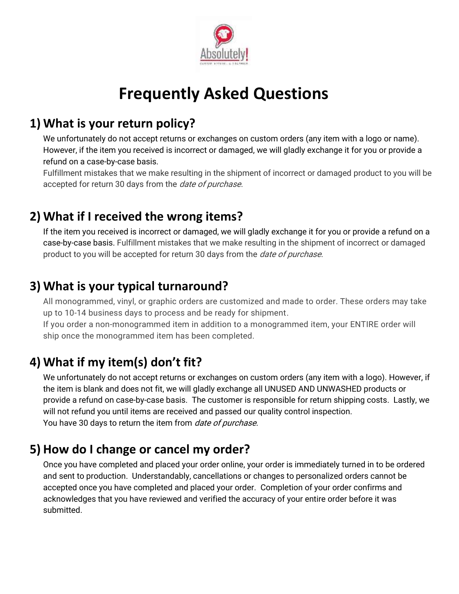

# **Frequently Asked Questions**

# **1) What is your return policy?**

We unfortunately do not accept returns or exchanges on custom orders (any item with a logo or name). However, if the item you received is incorrect or damaged, we will gladly exchange it for you or provide a refund on a case-by-case basis.

Fulfillment mistakes that we make resulting in the shipment of incorrect or damaged product to you will be accepted for return 30 days from the *date of purchase*.

#### **2) What if I received the wrong items?**

If the item you received is incorrect or damaged, we will gladly exchange it for you or provide a refund on a case-by-case basis. Fulfillment mistakes that we make resulting in the shipment of incorrect or damaged product to you will be accepted for return 30 days from the *date of purchase*.

# **3) What is your typical turnaround?**

All monogrammed, vinyl, or graphic orders are customized and made to order. These orders may take up to 10-14 business days to process and be ready for shipment.

If you order a non-monogrammed item in addition to a monogrammed item, your ENTIRE order will ship once the monogrammed item has been completed.

# **4) What if my item(s) don't fit?**

We unfortunately do not accept returns or exchanges on custom orders (any item with a logo). However, if the item is blank and does not fit, we will gladly exchange all UNUSED AND UNWASHED products or provide a refund on case-by-case basis. The customer is responsible for return shipping costs. Lastly, we will not refund you until items are received and passed our quality control inspection. You have 30 days to return the item from *date of purchase*.

# **5) How do I change or cancel my order?**

Once you have completed and placed your order online, your order is immediately turned in to be ordered and sent to production. Understandably, cancellations or changes to personalized orders cannot be accepted once you have completed and placed your order. Completion of your order confirms and acknowledges that you have reviewed and verified the accuracy of your entire order before it was submitted.